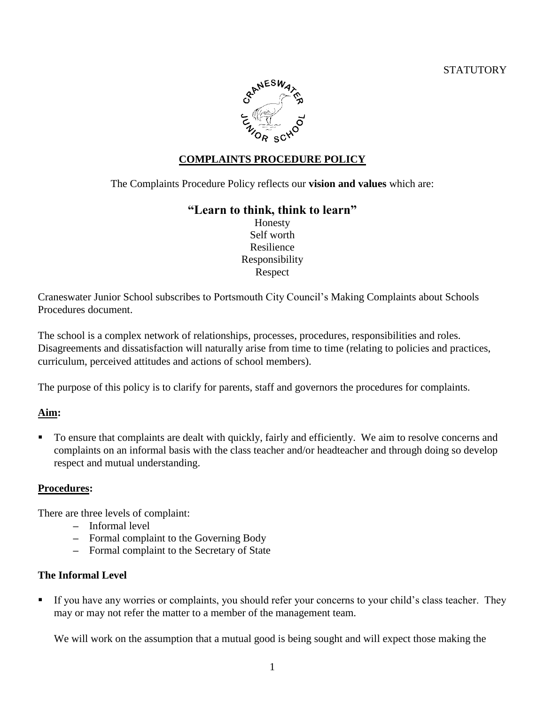

## **COMPLAINTS PROCEDURE POLICY**

The Complaints Procedure Policy reflects our **vision and values** which are:

## **"Learn to think, think to learn"**

Honesty Self worth Resilience Responsibility Respect

Craneswater Junior School subscribes to Portsmouth City Council's Making Complaints about Schools Procedures document.

The school is a complex network of relationships, processes, procedures, responsibilities and roles. Disagreements and dissatisfaction will naturally arise from time to time (relating to policies and practices, curriculum, perceived attitudes and actions of school members).

The purpose of this policy is to clarify for parents, staff and governors the procedures for complaints.

## **Aim:**

To ensure that complaints are dealt with quickly, fairly and efficiently. We aim to resolve concerns and complaints on an informal basis with the class teacher and/or headteacher and through doing so develop respect and mutual understanding.

### **Procedures:**

There are three levels of complaint:

- **–** Informal level
- **–** Formal complaint to the Governing Body
- **–** Formal complaint to the Secretary of State

### **The Informal Level**

If you have any worries or complaints, you should refer your concerns to your child's class teacher. They may or may not refer the matter to a member of the management team.

We will work on the assumption that a mutual good is being sought and will expect those making the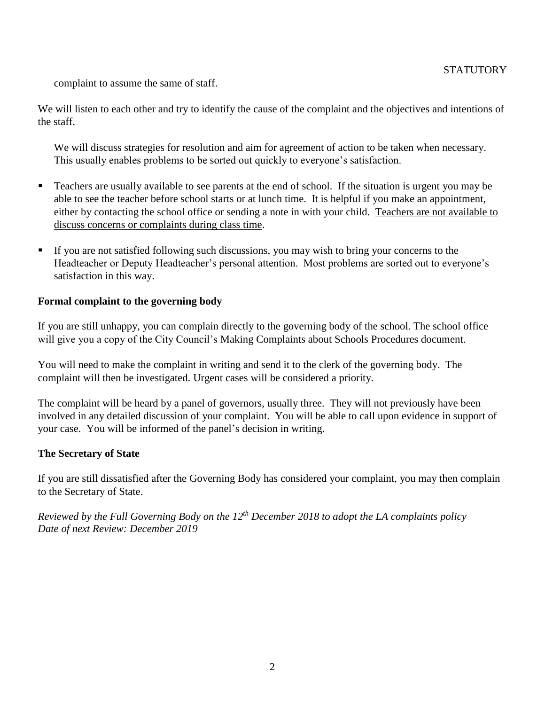complaint to assume the same of staff.

We will listen to each other and try to identify the cause of the complaint and the objectives and intentions of the staff.

We will discuss strategies for resolution and aim for agreement of action to be taken when necessary. This usually enables problems to be sorted out quickly to everyone's satisfaction.

- **Teachers are usually available to see parents at the end of school.** If the situation is urgent you may be able to see the teacher before school starts or at lunch time. It is helpful if you make an appointment, either by contacting the school office or sending a note in with your child. Teachers are not available to discuss concerns or complaints during class time.
- If you are not satisfied following such discussions, you may wish to bring your concerns to the Headteacher or Deputy Headteacher's personal attention. Most problems are sorted out to everyone's satisfaction in this way.

### **Formal complaint to the governing body**

If you are still unhappy, you can complain directly to the governing body of the school. The school office will give you a copy of the City Council's Making Complaints about Schools Procedures document.

You will need to make the complaint in writing and send it to the clerk of the governing body. The complaint will then be investigated. Urgent cases will be considered a priority.

The complaint will be heard by a panel of governors, usually three. They will not previously have been involved in any detailed discussion of your complaint. You will be able to call upon evidence in support of your case. You will be informed of the panel's decision in writing.

### **The Secretary of State**

If you are still dissatisfied after the Governing Body has considered your complaint, you may then complain to the Secretary of State.

*Reviewed by the Full Governing Body on the 12th December 2018 to adopt the LA complaints policy Date of next Review: December 2019*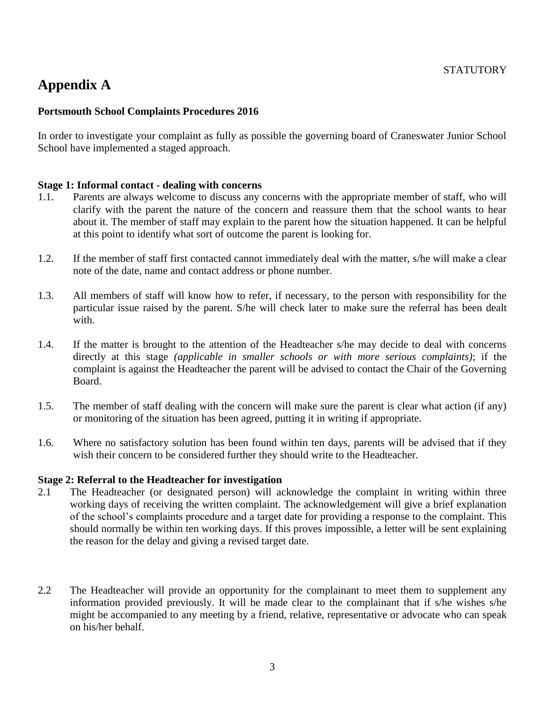# **Appendix A**

## **Portsmouth School Complaints Procedures 2016**

In order to investigate your complaint as fully as possible the governing board of Craneswater Junior School School have implemented a staged approach.

### **Stage 1: Informal contact - dealing with concerns**

- 1.1. Parents are always welcome to discuss any concerns with the appropriate member of staff, who will clarify with the parent the nature of the concern and reassure them that the school wants to hear about it. The member of staff may explain to the parent how the situation happened. It can be helpful at this point to identify what sort of outcome the parent is looking for.
- 1.2. If the member of staff first contacted cannot immediately deal with the matter, s/he will make a clear note of the date, name and contact address or phone number.
- 1.3. All members of staff will know how to refer, if necessary, to the person with responsibility for the particular issue raised by the parent. S/he will check later to make sure the referral has been dealt with.
- 1.4. If the matter is brought to the attention of the Headteacher s/he may decide to deal with concerns directly at this stage *(applicable in smaller schools or with more serious complaints)*; if the complaint is against the Headteacher the parent will be advised to contact the Chair of the Governing Board.
- 1.5. The member of staff dealing with the concern will make sure the parent is clear what action (if any) or monitoring of the situation has been agreed, putting it in writing if appropriate.
- 1.6. Where no satisfactory solution has been found within ten days, parents will be advised that if they wish their concern to be considered further they should write to the Headteacher.

#### **Stage 2: Referral to the Headteacher for investigation**

- 2.1 The Headteacher (or designated person) will acknowledge the complaint in writing within three working days of receiving the written complaint. The acknowledgement will give a brief explanation of the school's complaints procedure and a target date for providing a response to the complaint. This should normally be within ten working days. If this proves impossible, a letter will be sent explaining the reason for the delay and giving a revised target date.
- 2.2 The Headteacher will provide an opportunity for the complainant to meet them to supplement any information provided previously. It will be made clear to the complainant that if s/he wishes s/he might be accompanied to any meeting by a friend, relative, representative or advocate who can speak on his/her behalf.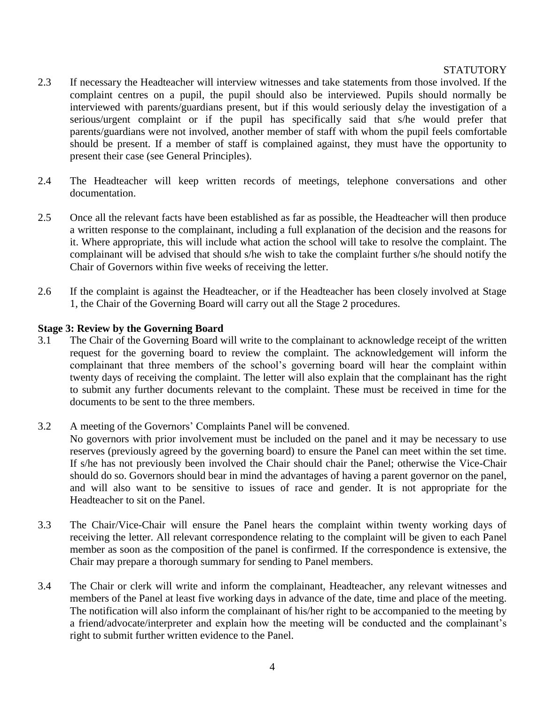- 2.3 If necessary the Headteacher will interview witnesses and take statements from those involved. If the complaint centres on a pupil, the pupil should also be interviewed. Pupils should normally be interviewed with parents/guardians present, but if this would seriously delay the investigation of a serious/urgent complaint or if the pupil has specifically said that s/he would prefer that parents/guardians were not involved, another member of staff with whom the pupil feels comfortable should be present. If a member of staff is complained against, they must have the opportunity to present their case (see General Principles).
- 2.4 The Headteacher will keep written records of meetings, telephone conversations and other documentation.
- 2.5 Once all the relevant facts have been established as far as possible, the Headteacher will then produce a written response to the complainant, including a full explanation of the decision and the reasons for it. Where appropriate, this will include what action the school will take to resolve the complaint. The complainant will be advised that should s/he wish to take the complaint further s/he should notify the Chair of Governors within five weeks of receiving the letter.
- 2.6 If the complaint is against the Headteacher, or if the Headteacher has been closely involved at Stage 1, the Chair of the Governing Board will carry out all the Stage 2 procedures.

### **Stage 3: Review by the Governing Board**

- 3.1 The Chair of the Governing Board will write to the complainant to acknowledge receipt of the written request for the governing board to review the complaint. The acknowledgement will inform the complainant that three members of the school's governing board will hear the complaint within twenty days of receiving the complaint. The letter will also explain that the complainant has the right to submit any further documents relevant to the complaint. These must be received in time for the documents to be sent to the three members.
- 3.2 A meeting of the Governors' Complaints Panel will be convened.

No governors with prior involvement must be included on the panel and it may be necessary to use reserves (previously agreed by the governing board) to ensure the Panel can meet within the set time. If s/he has not previously been involved the Chair should chair the Panel; otherwise the Vice-Chair should do so. Governors should bear in mind the advantages of having a parent governor on the panel, and will also want to be sensitive to issues of race and gender. It is not appropriate for the Headteacher to sit on the Panel.

- 3.3 The Chair/Vice-Chair will ensure the Panel hears the complaint within twenty working days of receiving the letter. All relevant correspondence relating to the complaint will be given to each Panel member as soon as the composition of the panel is confirmed. If the correspondence is extensive, the Chair may prepare a thorough summary for sending to Panel members.
- 3.4 The Chair or clerk will write and inform the complainant, Headteacher, any relevant witnesses and members of the Panel at least five working days in advance of the date, time and place of the meeting. The notification will also inform the complainant of his/her right to be accompanied to the meeting by a friend/advocate/interpreter and explain how the meeting will be conducted and the complainant's right to submit further written evidence to the Panel.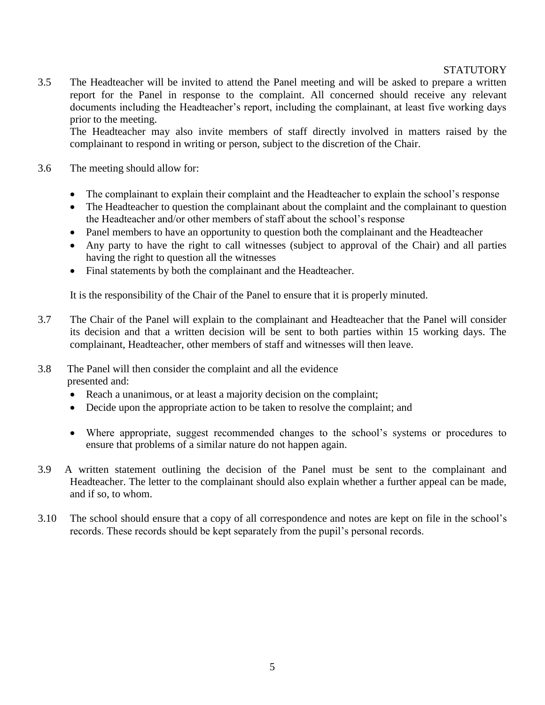3.5 The Headteacher will be invited to attend the Panel meeting and will be asked to prepare a written report for the Panel in response to the complaint. All concerned should receive any relevant documents including the Headteacher's report, including the complainant, at least five working days prior to the meeting.

The Headteacher may also invite members of staff directly involved in matters raised by the complainant to respond in writing or person, subject to the discretion of the Chair.

- 3.6 The meeting should allow for:
	- The complainant to explain their complaint and the Headteacher to explain the school's response
	- The Headteacher to question the complainant about the complaint and the complainant to question the Headteacher and/or other members of staff about the school's response
	- Panel members to have an opportunity to question both the complainant and the Headteacher
	- Any party to have the right to call witnesses (subject to approval of the Chair) and all parties having the right to question all the witnesses
	- Final statements by both the complainant and the Headteacher.

It is the responsibility of the Chair of the Panel to ensure that it is properly minuted.

- 3.7 The Chair of the Panel will explain to the complainant and Headteacher that the Panel will consider its decision and that a written decision will be sent to both parties within 15 working days. The complainant, Headteacher, other members of staff and witnesses will then leave.
- 3.8 The Panel will then consider the complaint and all the evidence presented and:
	- Reach a unanimous, or at least a majority decision on the complaint;
	- Decide upon the appropriate action to be taken to resolve the complaint; and
	- Where appropriate, suggest recommended changes to the school's systems or procedures to ensure that problems of a similar nature do not happen again.
- 3.9 A written statement outlining the decision of the Panel must be sent to the complainant and Headteacher. The letter to the complainant should also explain whether a further appeal can be made, and if so, to whom.
- 3.10 The school should ensure that a copy of all correspondence and notes are kept on file in the school's records. These records should be kept separately from the pupil's personal records.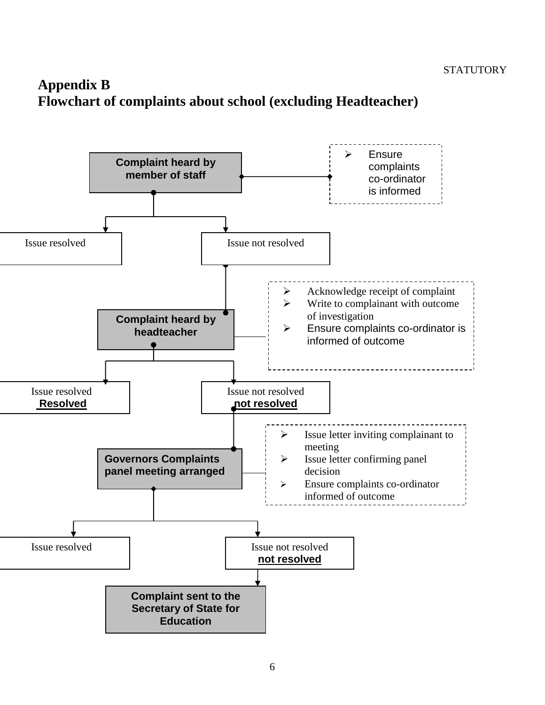# **Appendix B Flowchart of complaints about school (excluding Headteacher)**